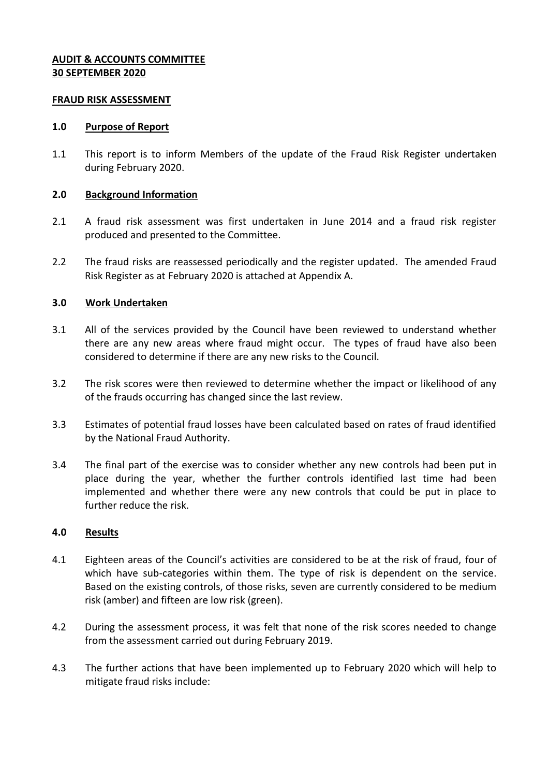## **AUDIT & ACCOUNTS COMMITTEE 30 SEPTEMBER 2020**

#### **FRAUD RISK ASSESSMENT**

#### **1.0 Purpose of Report**

1.1 This report is to inform Members of the update of the Fraud Risk Register undertaken during February 2020.

### **2.0 Background Information**

- 2.1 A fraud risk assessment was first undertaken in June 2014 and a fraud risk register produced and presented to the Committee.
- 2.2 The fraud risks are reassessed periodically and the register updated. The amended Fraud Risk Register as at February 2020 is attached at Appendix A.

### **3.0 Work Undertaken**

- 3.1 All of the services provided by the Council have been reviewed to understand whether there are any new areas where fraud might occur. The types of fraud have also been considered to determine if there are any new risks to the Council.
- 3.2 The risk scores were then reviewed to determine whether the impact or likelihood of any of the frauds occurring has changed since the last review.
- 3.3 Estimates of potential fraud losses have been calculated based on rates of fraud identified by the National Fraud Authority.
- 3.4 The final part of the exercise was to consider whether any new controls had been put in place during the year, whether the further controls identified last time had been implemented and whether there were any new controls that could be put in place to further reduce the risk.

### **4.0 Results**

- 4.1 Eighteen areas of the Council's activities are considered to be at the risk of fraud, four of which have sub-categories within them. The type of risk is dependent on the service. Based on the existing controls, of those risks, seven are currently considered to be medium risk (amber) and fifteen are low risk (green).
- 4.2 During the assessment process, it was felt that none of the risk scores needed to change from the assessment carried out during February 2019.
- 4.3 The further actions that have been implemented up to February 2020 which will help to mitigate fraud risks include: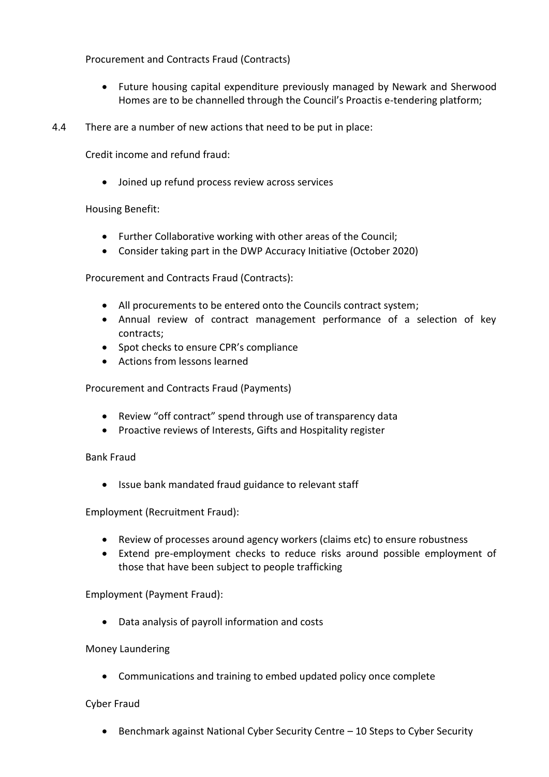Procurement and Contracts Fraud (Contracts)

- Future housing capital expenditure previously managed by Newark and Sherwood Homes are to be channelled through the Council's Proactis e-tendering platform;
- 4.4 There are a number of new actions that need to be put in place:

Credit income and refund fraud:

Joined up refund process review across services

# Housing Benefit:

- Further Collaborative working with other areas of the Council;
- Consider taking part in the DWP Accuracy Initiative (October 2020)

Procurement and Contracts Fraud (Contracts):

- All procurements to be entered onto the Councils contract system;
- Annual review of contract management performance of a selection of key contracts;
- Spot checks to ensure CPR's compliance
- Actions from lessons learned

Procurement and Contracts Fraud (Payments)

- Review "off contract" spend through use of transparency data
- Proactive reviews of Interests, Gifts and Hospitality register

# Bank Fraud

• Issue bank mandated fraud guidance to relevant staff

Employment (Recruitment Fraud):

- Review of processes around agency workers (claims etc) to ensure robustness
- Extend pre-employment checks to reduce risks around possible employment of those that have been subject to people trafficking

Employment (Payment Fraud):

Data analysis of payroll information and costs

# Money Laundering

Communications and training to embed updated policy once complete

# Cyber Fraud

Benchmark against National Cyber Security Centre – 10 Steps to Cyber Security